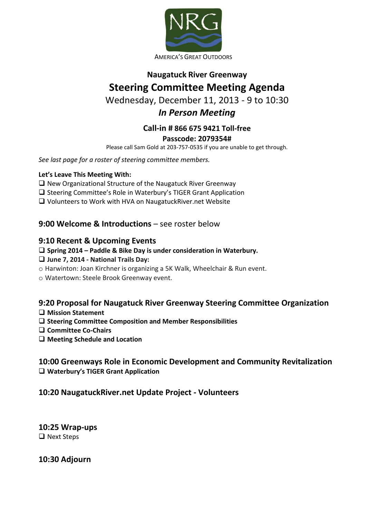

AMERICA'S GREAT OUTDOORS

# **Naugatuck River Greenway Steering Committee Meeting Agenda**

# Wednesday, December 11, 2013 - 9 to 10:30

# *In Person Meeting*

#### **Call-in # 866 675 9421 Toll-free Passcode: 2079354#**

Please call Sam Gold at 203-757-0535 if you are unable to get through.

*See last page for a roster of steering committee members.* 

#### **Let's Leave This Meeting With:**

- $\Box$  New Organizational Structure of the Naugatuck River Greenway
- □ Steering Committee's Role in Waterbury's TIGER Grant Application
- Volunteers to Work with HVA on NaugatuckRiver.net Website

**9:00 Welcome & Introductions** – see roster below

#### **9:10 Recent & Upcoming Events**

**Spring 2014 – Paddle & Bike Day is under consideration in Waterbury.** 

#### **June 7, 2014 - National Trails Day:**

- o Harwinton: Joan Kirchner is organizing a 5K Walk, Wheelchair & Run event.
- o Watertown: Steele Brook Greenway event.

## **9:20 Proposal for Naugatuck River Greenway Steering Committee Organization**

- **Mission Statement**
- **Steering Committee Composition and Member Responsibilities**
- **Committee Co-Chairs**
- **Meeting Schedule and Location**

### **10:00 Greenways Role in Economic Development and Community Revitalization Waterbury's TIGER Grant Application**

## **10:20 NaugatuckRiver.net Update Project - Volunteers**

**10:25 Wrap-ups**  □ Next Steps

**10:30 Adjourn**